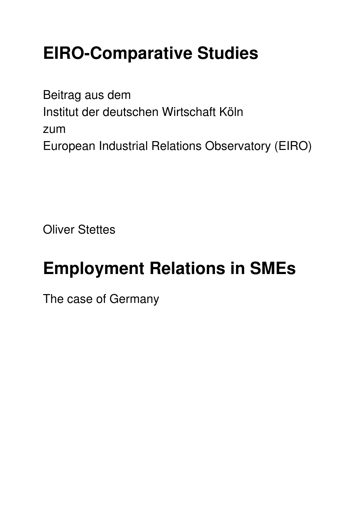# **EIRO-Comparative Studies**

Beitrag aus dem Institut der deutschen Wirtschaft Köln zum European Industrial Relations Observatory (EIRO)

**Oliver Stettes** 

# **Employment Relations in SMEs**

The case of Germany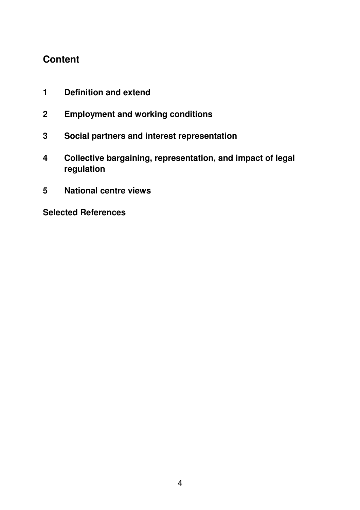# **Content**

- **1 Definition and extend**
- **2 Employment and working conditions**
- **3 Social partners and interest representation**
- **4 Collective bargaining, representation, and impact of legal regulation**
- **5 National centre views**

**Selected References**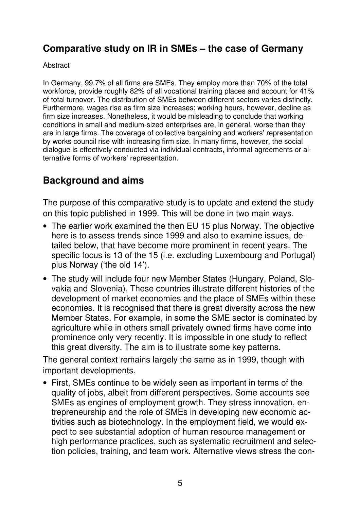# **Comparative study on IR in SMEs – the case of Germany**

#### **Abstract**

In Germany, 99.7% of all firms are SMEs. They employ more than 70% of the total workforce, provide roughly 82% of all vocational training places and account for 41% of total turnover. The distribution of SMEs between different sectors varies distinctly. Furthermore, wages rise as firm size increases; working hours, however, decline as firm size increases. Nonetheless, it would be misleading to conclude that working conditions in small and medium-sized enterprises are, in general, worse than they are in large firms. The coverage of collective bargaining and workers' representation by works council rise with increasing firm size. In many firms, however, the social dialogue is effectively conducted via individual contracts, informal agreements or alternative forms of workers' representation.

# **Background and aims**

The purpose of this comparative study is to update and extend the study on this topic published in 1999. This will be done in two main ways.

- The earlier work examined the then EU 15 plus Norway. The objective here is to assess trends since 1999 and also to examine issues, detailed below, that have become more prominent in recent years. The specific focus is 13 of the 15 (i.e. excluding Luxembourg and Portugal) plus Norway ('the old 14').
- The study will include four new Member States (Hungary, Poland, Slovakia and Slovenia). These countries illustrate different histories of the development of market economies and the place of SMEs within these economies. It is recognised that there is great diversity across the new Member States. For example, in some the SME sector is dominated by agriculture while in others small privately owned firms have come into prominence only very recently. It is impossible in one study to reflect this great diversity. The aim is to illustrate some key patterns.

The general context remains largely the same as in 1999, though with important developments.

• First, SMEs continue to be widely seen as important in terms of the quality of jobs, albeit from different perspectives. Some accounts see SMEs as engines of employment growth. They stress innovation, entrepreneurship and the role of SMEs in developing new economic activities such as biotechnology. In the employment field, we would expect to see substantial adoption of human resource management or high performance practices, such as systematic recruitment and selection policies, training, and team work. Alternative views stress the con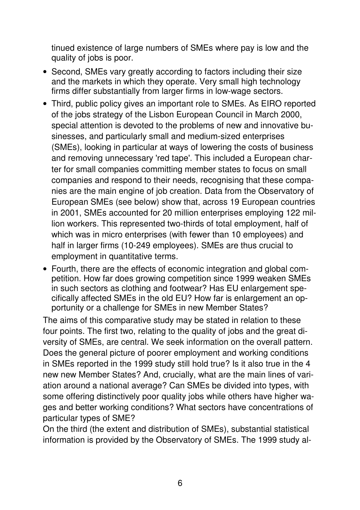tinued existence of large numbers of SMEs where pay is low and the quality of jobs is poor.

- Second, SMEs vary greatly according to factors including their size and the markets in which they operate. Very small high technology firms differ substantially from larger firms in low-wage sectors.
- Third, public policy gives an important role to SMEs. As EIRO reported of the jobs strategy of the Lisbon European Council in March 2000, special attention is devoted to the problems of new and innovative businesses, and particularly small and medium-sized enterprises (SMEs), looking in particular at ways of lowering the costs of business and removing unnecessary 'red tape'. This included a European charter for small companies committing member states to focus on small companies and respond to their needs, recognising that these companies are the main engine of job creation. Data from the Observatory of European SMEs (see below) show that, across 19 European countries in 2001, SMEs accounted for 20 million enterprises employing 122 million workers. This represented two-thirds of total employment, half of which was in micro enterprises (with fewer than 10 employees) and half in larger firms (10-249 employees). SMEs are thus crucial to employment in quantitative terms.
- Fourth, there are the effects of economic integration and global competition. How far does growing competition since 1999 weaken SMEs in such sectors as clothing and footwear? Has EU enlargement specifically affected SMEs in the old EU? How far is enlargement an opportunity or a challenge for SMEs in new Member States?

The aims of this comparative study may be stated in relation to these four points. The first two, relating to the quality of jobs and the great diversity of SMEs, are central. We seek information on the overall pattern. Does the general picture of poorer employment and working conditions in SMEs reported in the 1999 study still hold true? Is it also true in the 4 new new Member States? And, crucially, what are the main lines of variation around a national average? Can SMEs be divided into types, with some offering distinctively poor quality jobs while others have higher wages and better working conditions? What sectors have concentrations of particular types of SME?

On the third (the extent and distribution of SMEs), substantial statistical information is provided by the Observatory of SMEs. The 1999 study al-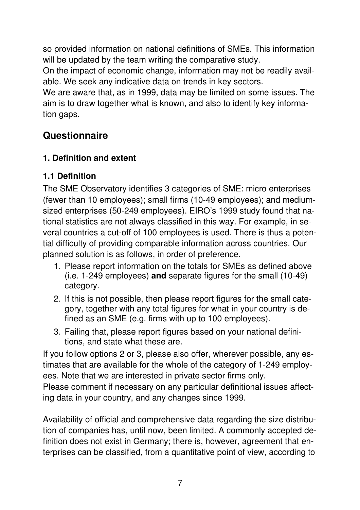so provided information on national definitions of SMEs. This information will be updated by the team writing the comparative study.

On the impact of economic change, information may not be readily available. We seek any indicative data on trends in key sectors.

We are aware that, as in 1999, data may be limited on some issues. The aim is to draw together what is known, and also to identify key information gaps.

# **Questionnaire**

# **1. Definition and extent**

# **1.1 Definition**

The SME Observatory identifies 3 categories of SME: micro enterprises (fewer than 10 employees); small firms (10-49 employees); and mediumsized enterprises (50-249 employees). EIRO's 1999 study found that national statistics are not always classified in this way. For example, in several countries a cut-off of 100 employees is used. There is thus a potential difficulty of providing comparable information across countries. Our planned solution is as follows, in order of preference.

- 1. Please report information on the totals for SMEs as defined above (i.e. 1-249 employees) **and** separate figures for the small (10-49) category.
- 2. If this is not possible, then please report figures for the small category, together with any total figures for what in your country is defined as an SME (e.g. firms with up to 100 employees).
- 3. Failing that, please report figures based on your national definitions, and state what these are.

If you follow options 2 or 3, please also offer, wherever possible, any estimates that are available for the whole of the category of 1-249 employees. Note that we are interested in private sector firms only.

Please comment if necessary on any particular definitional issues affecting data in your country, and any changes since 1999.

Availability of official and comprehensive data regarding the size distribution of companies has, until now, been limited. A commonly accepted definition does not exist in Germany; there is, however, agreement that enterprises can be classified, from a quantitative point of view, according to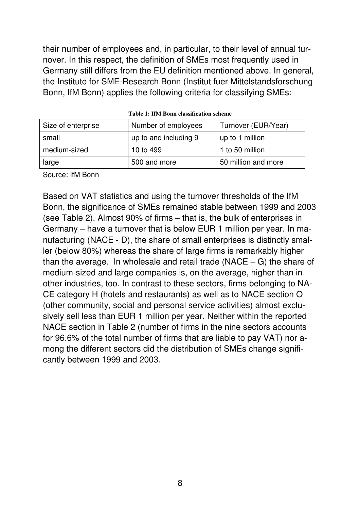their number of employees and, in particular, to their level of annual turnover. In this respect, the definition of SMEs most frequently used in Germany still differs from the EU definition mentioned above. In general, the Institute for SME-Research Bonn (Institut fuer Mittelstandsforschung Bonn, IfM Bonn) applies the following criteria for classifying SMEs:

| Size of enterprise | Number of employees   | Turnover (EUR/Year) |
|--------------------|-----------------------|---------------------|
| small              | up to and including 9 | up to 1 million     |
| medium-sized       | 10 to 499             | 1 to 50 million     |
| large              | 500 and more          | 50 million and more |

**Table 1: IfM Bonn classification scheme** 

Source: IfM Bonn

Based on VAT statistics and using the turnover thresholds of the IfM Bonn, the significance of SMEs remained stable between 1999 and 2003 (see Table 2). Almost 90% of firms – that is, the bulk of enterprises in Germany – have a turnover that is below EUR 1 million per year. In manufacturing (NACE - D), the share of small enterprises is distinctly smaller (below 80%) whereas the share of large firms is remarkably higher than the average. In wholesale and retail trade  $(NACE - G)$  the share of medium-sized and large companies is, on the average, higher than in other industries, too. In contrast to these sectors, firms belonging to NA-CE category H (hotels and restaurants) as well as to NACE section O (other community, social and personal service activities) almost exclusively sell less than EUR 1 million per year. Neither within the reported NACE section in Table 2 (number of firms in the nine sectors accounts for 96.6% of the total number of firms that are liable to pay VAT) nor among the different sectors did the distribution of SMEs change significantly between 1999 and 2003.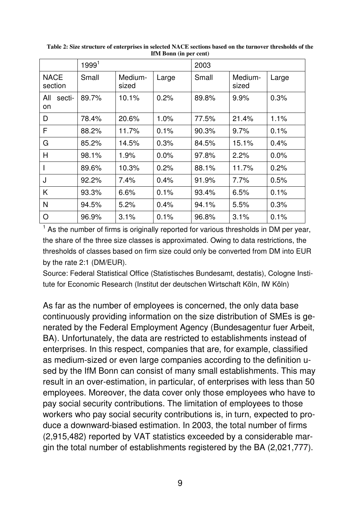|                        | 1999 <sup>1</sup> |                  |       | 2003  |                  |       |  |
|------------------------|-------------------|------------------|-------|-------|------------------|-------|--|
| <b>NACE</b><br>section | Small             | Medium-<br>sized | Large | Small | Medium-<br>sized | Large |  |
| All<br>secti-<br>on    | 89.7%             | 10.1%            | 0.2%  | 89.8% | 9.9%             | 0.3%  |  |
| D                      | 78.4%             | 20.6%            | 1.0%  | 77.5% | 21.4%            | 1.1%  |  |
| F                      | 88.2%             | 11.7%            | 0.1%  | 90.3% | 9.7%             | 0.1%  |  |
| G                      | 85.2%             | 14.5%            | 0.3%  | 84.5% | 15.1%            | 0.4%  |  |
| H                      | 98.1%             | 1.9%             | 0.0%  | 97.8% | 2.2%             | 0.0%  |  |
|                        | 89.6%             | 10.3%            | 0.2%  | 88.1% | 11.7%            | 0.2%  |  |
| J                      | 92.2%             | 7.4%             | 0.4%  | 91.9% | 7.7%             | 0.5%  |  |
| K                      | 93.3%             | 6.6%             | 0.1%  | 93.4% | 6.5%             | 0.1%  |  |
| N                      | 94.5%             | 5.2%             | 0.4%  | 94.1% | 5.5%             | 0.3%  |  |
| O                      | 96.9%             | 3.1%             | 0.1%  | 96.8% | 3.1%             | 0.1%  |  |

**Table 2: Size structure of enterprises in selected NACE sections based on the turnover thresholds of the IfM Bonn (in per cent)** 

<sup>1</sup> As the number of firms is originally reported for various thresholds in DM per year, the share of the three size classes is approximated. Owing to data restrictions, the thresholds of classes based on firm size could only be converted from DM into EUR by the rate 2:1 (DM/EUR).

Source: Federal Statistical Office (Statistisches Bundesamt, destatis), Cologne Institute for Economic Research (Institut der deutschen Wirtschaft Köln, IW Köln)

As far as the number of employees is concerned, the only data base continuously providing information on the size distribution of SMEs is generated by the Federal Employment Agency (Bundesagentur fuer Arbeit, BA). Unfortunately, the data are restricted to establishments instead of enterprises. In this respect, companies that are, for example, classified as medium-sized or even large companies according to the definition used by the IfM Bonn can consist of many small establishments. This may result in an over-estimation, in particular, of enterprises with less than 50 employees. Moreover, the data cover only those employees who have to pay social security contributions. The limitation of employees to those workers who pay social security contributions is, in turn, expected to produce a downward-biased estimation. In 2003, the total number of firms (2,915,482) reported by VAT statistics exceeded by a considerable margin the total number of establishments registered by the BA (2,021,777).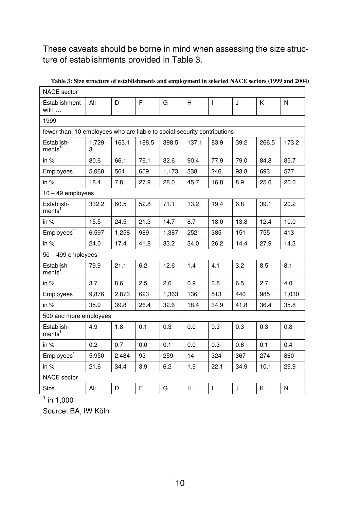#### These caveats should be borne in mind when assessing the size structure of establishments provided in Table 3.

| <b>NACE</b> sector                                                      |             |       |       |       |       |                          |      |       |       |
|-------------------------------------------------------------------------|-------------|-------|-------|-------|-------|--------------------------|------|-------|-------|
| Establishment<br>with                                                   | All         | D     | F     | G     | H.    | $\mathbf{I}$             | J    | K     | N     |
| 1999                                                                    |             |       |       |       |       |                          |      |       |       |
| fewer than 10 employees who are liable to social-security contributions |             |       |       |       |       |                          |      |       |       |
| Establish-<br>ments <sup>1</sup>                                        | 1,729.<br>З | 163.1 | 188.5 | 398.5 | 137.1 | 83.9                     | 39.2 | 266.5 | 173.2 |
| in %                                                                    | 80.6        | 66.1  | 76.1  | 82.6  | 90.4  | 77.9                     | 79.0 | 84.8  | 85.7  |
| Employes <sup>1</sup>                                                   | 5,060       | 564   | 659   | 1,173 | 338   | 246                      | 93.8 | 693   | 577   |
| in $%$                                                                  | 18.4        | 7.8   | 27.9  | 28.0  | 45.7  | 16.8                     | 8.9  | 25.6  | 20.0  |
| $10 - 49$ employees                                                     |             |       |       |       |       |                          |      |       |       |
| Establish-<br>ments <sup>1</sup>                                        | 332.2       | 60.5  | 52.8  | 71.1  | 13.2  | 19.4                     | 6.8  | 39.1  | 20.2  |
| in $%$                                                                  | 15.5        | 24.5  | 21.3  | 14.7  | 8.7   | 18.0                     | 13.8 | 12.4  | 10.0  |
| Employees <sup>1</sup>                                                  | 6,597       | 1,258 | 989   | 1,387 | 252   | 385                      | 151  | 755   | 413   |
| in $%$                                                                  | 24.0        | 17.4  | 41.8  | 33.2  | 34.0  | 26.2                     | 14.4 | 27.9  | 14.3  |
| $50 - 499$ employees                                                    |             |       |       |       |       |                          |      |       |       |
| Establish-<br>ments <sup>1</sup>                                        | 79.9        | 21.1  | 6.2   | 12.6  | 1.4   | 4.1                      | 3.2  | 8.5   | 8.1   |
| in $%$                                                                  | 3.7         | 8.6   | 2.5   | 2.6   | 0.9   | 3.8                      | 6.5  | 2.7   | 4.0   |
| Employees <sup>1</sup>                                                  | 9,876       | 2,873 | 623   | 1,363 | 136   | 513                      | 440  | 985   | 1,030 |
| in %                                                                    | 35.9        | 39.8  | 26.4  | 32.6  | 18.4  | 34.9                     | 41.8 | 36.4  | 35.8  |
| 500 and more employees                                                  |             |       |       |       |       |                          |      |       |       |
| Establish-<br>ments <sup>1</sup>                                        | 4.9         | 1.8   | 0.1   | 0.3   | 0.0   | 0.3                      | 0.3  | 0.3   | 0.8   |
| in $%$                                                                  | 0.2         | 0.7   | 0.0   | 0.1   | 0.0   | 0.3                      | 0.6  | 0.1   | 0.4   |
| Employees <sup>1</sup>                                                  | 5,950       | 2,484 | 93    | 259   | 14    | 324                      | 367  | 274   | 860   |
| in $%$                                                                  | 21.6        | 34.4  | 3.9   | 6.2   | 1.9   | 22.1                     | 34.9 | 10.1  | 29.9  |
| NACE sector                                                             |             |       |       |       |       |                          |      |       |       |
| Size                                                                    | All         | D     | F     | G     | H     | $\overline{\phantom{a}}$ | J    | K     | N     |

**Table 3: Size structure of establishments and employment in selected NACE sectors (1999 and 2004)** 

 $^1$  in 1,000

Source: BA, IW Köln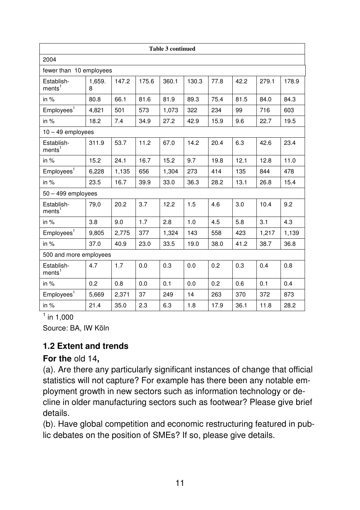|                                  |             |       |       | <b>Table 3 continued</b> |       |      |      |       |       |
|----------------------------------|-------------|-------|-------|--------------------------|-------|------|------|-------|-------|
| 2004                             |             |       |       |                          |       |      |      |       |       |
| fewer than 10 employees          |             |       |       |                          |       |      |      |       |       |
| Establish-<br>ments <sup>1</sup> | 1,659.<br>8 | 147.2 | 175.6 | 360.1                    | 130.3 | 77.8 | 42.2 | 279.1 | 178.9 |
| in %                             | 80.8        | 66.1  | 81.6  | 81.9                     | 89.3  | 75.4 | 81.5 | 84.0  | 84.3  |
| Employees <sup>1</sup>           | 4,821       | 501   | 573   | 1,073                    | 322   | 234  | 99   | 716   | 603   |
| in $%$                           | 18.2        | 7.4   | 34.9  | 27.2                     | 42.9  | 15.9 | 9.6  | 22.7  | 19.5  |
| $10 - 49$ employees              |             |       |       |                          |       |      |      |       |       |
| Establish-<br>ments <sup>1</sup> | 311.9       | 53.7  | 11.2  | 67.0                     | 14.2  | 20.4 | 6.3  | 42.6  | 23.4  |
| in $%$                           | 15.2        | 24.1  | 16.7  | 15.2                     | 9.7   | 19.8 | 12.1 | 12.8  | 11.0  |
| Employes <sup>1</sup>            | 6,228       | 1,135 | 656   | 1,304                    | 273   | 414  | 135  | 844   | 478   |
| in $%$                           | 23.5        | 16.7  | 39.9  | 33.0                     | 36.3  | 28.2 | 13.1 | 26.8  | 15.4  |
| $50 - 499$ employees             |             |       |       |                          |       |      |      |       |       |
| Establish-<br>ments <sup>1</sup> | 79,0        | 20.2  | 3.7   | 12.2                     | 1.5   | 4.6  | 3.0  | 10.4  | 9.2   |
| in $%$                           | 3.8         | 9.0   | 1.7   | 2.8                      | 1.0   | 4.5  | 5.8  | 3.1   | 4.3   |
| Employees <sup>1</sup>           | 9,805       | 2,775 | 377   | 1,324                    | 143   | 558  | 423  | 1,217 | 1,139 |
| in $%$                           | 37.0        | 40.9  | 23.0  | 33.5                     | 19.0  | 38.0 | 41.2 | 38.7  | 36.8  |
| 500 and more employees           |             |       |       |                          |       |      |      |       |       |
| Establish-<br>ments <sup>1</sup> | 4.7         | 1.7   | 0.0   | 0.3                      | 0.0   | 0.2  | 0.3  | 0.4   | 0.8   |
| in $%$                           | 0.2         | 0.8   | 0.0   | 0.1                      | 0.0   | 0.2  | 0.6  | 0.1   | 0.4   |
| Employes <sup>1</sup>            | 5,669       | 2,371 | 37    | 249                      | 14    | 263  | 370  | 372   | 873   |
| in %                             | 21.4        | 35.0  | 2.3   | 6.3                      | 1.8   | 17.9 | 36.1 | 11.8  | 28.2  |

 $^1$  in 1,000

Source: BA, IW Köln

#### **1.2 Extent and trends**

#### **For the** old 14**,**

(a). Are there any particularly significant instances of change that official statistics will not capture? For example has there been any notable employment growth in new sectors such as information technology or decline in older manufacturing sectors such as footwear? Please give brief details.

(b). Have global competition and economic restructuring featured in public debates on the position of SMEs? If so, please give details.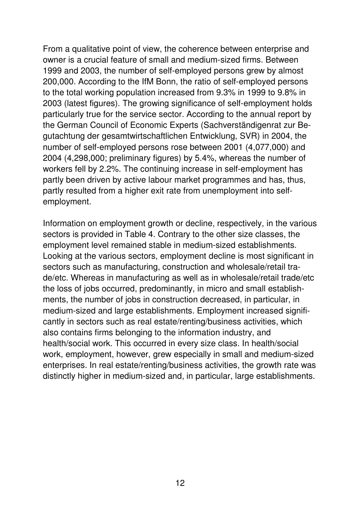From a qualitative point of view, the coherence between enterprise and owner is a crucial feature of small and medium-sized firms. Between 1999 and 2003, the number of self-employed persons grew by almost 200,000. According to the IfM Bonn, the ratio of self-employed persons to the total working population increased from 9.3% in 1999 to 9.8% in 2003 (latest figures). The growing significance of self-employment holds particularly true for the service sector. According to the annual report by the German Council of Economic Experts (Sachverständigenrat zur Begutachtung der gesamtwirtschaftlichen Entwicklung, SVR) in 2004, the number of self-employed persons rose between 2001 (4,077,000) and 2004 (4,298,000; preliminary figures) by 5.4%, whereas the number of workers fell by 2.2%. The continuing increase in self-employment has partly been driven by active labour market programmes and has, thus, partly resulted from a higher exit rate from unemployment into selfemployment.

Information on employment growth or decline, respectively, in the various sectors is provided in Table 4. Contrary to the other size classes, the employment level remained stable in medium-sized establishments. Looking at the various sectors, employment decline is most significant in sectors such as manufacturing, construction and wholesale/retail trade/etc. Whereas in manufacturing as well as in wholesale/retail trade/etc the loss of jobs occurred, predominantly, in micro and small establishments, the number of jobs in construction decreased, in particular, in medium-sized and large establishments. Employment increased significantly in sectors such as real estate/renting/business activities, which also contains firms belonging to the information industry, and health/social work. This occurred in every size class. In health/social work, employment, however, grew especially in small and medium-sized enterprises. In real estate/renting/business activities, the growth rate was distinctly higher in medium-sized and, in particular, large establishments.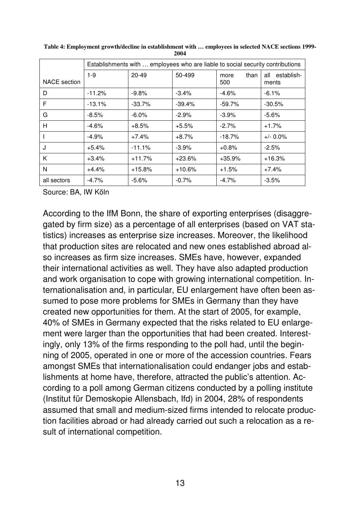|              | Establishments with  employees who are liable to social security contributions |           |          |                     |                            |  |
|--------------|--------------------------------------------------------------------------------|-----------|----------|---------------------|----------------------------|--|
| NACE section | $1-9$                                                                          | $20 - 49$ | 50-499   | than<br>more<br>500 | establish-<br>all<br>ments |  |
| D            | $-11.2%$                                                                       | $-9.8%$   | $-3.4%$  | $-4.6%$             | $-6.1\%$                   |  |
| F            | $-13.1%$                                                                       | $-33.7\%$ | $-39.4%$ | $-59.7%$            | $-30.5%$                   |  |
| G            | $-8.5%$                                                                        | $-6.0\%$  | $-2.9%$  | $-3.9%$             | $-5.6%$                    |  |
| Н            | $-4.6%$                                                                        | $+8.5%$   | $+5.5%$  | $-2.7\%$            | $+1.7%$                    |  |
|              | $-4.9%$                                                                        | $+7.4%$   | $+8.7%$  | $-18.7%$            | $+/- 0.0\%$                |  |
| J            | $+5.4%$                                                                        | $-11.1%$  | $-3.9%$  | $+0.8%$             | $-2.5%$                    |  |
| K            | $+3.4%$                                                                        | $+11.7%$  | $+23.6%$ | $+35.9%$            | $+16.3%$                   |  |
| N            | $+4.4%$                                                                        | $+15.8%$  | $+10.6%$ | $+1.5%$             | $+7.4%$                    |  |
| all sectors  | $-4.7\%$                                                                       | $-5.6%$   | $-0.7%$  | $-4.7\%$            | $-3.5%$                    |  |

**Table 4: Employment growth/decline in establishment with … employees in selected NACE sections 1999- 2004** 

Source: BA, IW Köln

According to the IfM Bonn, the share of exporting enterprises (disaggregated by firm size) as a percentage of all enterprises (based on VAT statistics) increases as enterprise size increases. Moreover, the likelihood that production sites are relocated and new ones established abroad also increases as firm size increases. SMEs have, however, expanded their international activities as well. They have also adapted production and work organisation to cope with growing international competition. Internationalisation and, in particular, EU enlargement have often been assumed to pose more problems for SMEs in Germany than they have created new opportunities for them. At the start of 2005, for example, 40% of SMEs in Germany expected that the risks related to EU enlargement were larger than the opportunities that had been created. Interestingly, only 13% of the firms responding to the poll had, until the beginning of 2005, operated in one or more of the accession countries. Fears amongst SMEs that internationalisation could endanger jobs and establishments at home have, therefore, attracted the public's attention. According to a poll among German citizens conducted by a polling institute (Institut für Demoskopie Allensbach, Ifd) in 2004, 28% of respondents assumed that small and medium-sized firms intended to relocate production facilities abroad or had already carried out such a relocation as a result of international competition.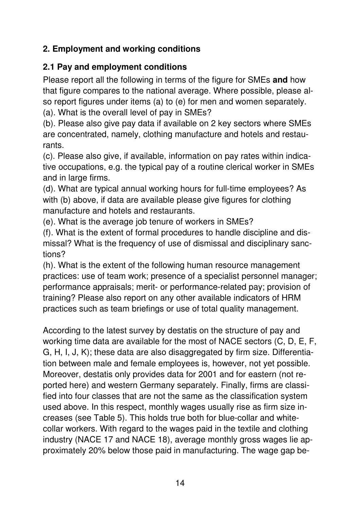# **2. Employment and working conditions**

#### **2.1 Pay and employment conditions**

Please report all the following in terms of the figure for SMEs **and** how that figure compares to the national average. Where possible, please also report figures under items (a) to (e) for men and women separately.

(a). What is the overall level of pay in SMEs?

(b). Please also give pay data if available on 2 key sectors where SMEs are concentrated, namely, clothing manufacture and hotels and restaurants.

(c). Please also give, if available, information on pay rates within indicative occupations, e.g. the typical pay of a routine clerical worker in SMEs and in large firms.

(d). What are typical annual working hours for full-time employees? As with (b) above, if data are available please give figures for clothing manufacture and hotels and restaurants.

(e). What is the average job tenure of workers in SMEs?

(f). What is the extent of formal procedures to handle discipline and dismissal? What is the frequency of use of dismissal and disciplinary sanctions?

(h). What is the extent of the following human resource management practices: use of team work; presence of a specialist personnel manager; performance appraisals; merit- or performance-related pay; provision of training? Please also report on any other available indicators of HRM practices such as team briefings or use of total quality management.

According to the latest survey by destatis on the structure of pay and working time data are available for the most of NACE sectors (C, D, E, F, G, H, I, J, K); these data are also disaggregated by firm size. Differentiation between male and female employees is, however, not yet possible. Moreover, destatis only provides data for 2001 and for eastern (not reported here) and western Germany separately. Finally, firms are classified into four classes that are not the same as the classification system used above. In this respect, monthly wages usually rise as firm size increases (see Table 5). This holds true both for blue-collar and whitecollar workers. With regard to the wages paid in the textile and clothing industry (NACE 17 and NACE 18), average monthly gross wages lie approximately 20% below those paid in manufacturing. The wage gap be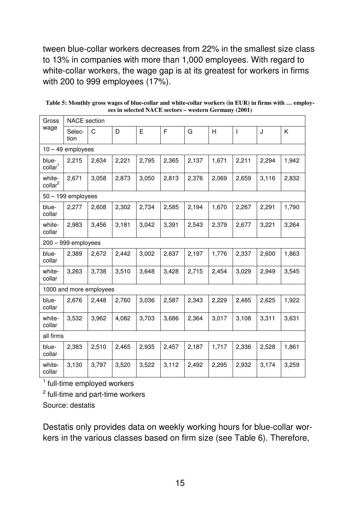tween blue-collar workers decreases from 22% in the smallest size class to 13% in companies with more than 1,000 employees. With regard to white-collar workers, the wage gap is at its greatest for workers in firms with 200 to 999 employees (17%).

| Gross                         | <b>NACE</b> section     |       |       |       |       |       |       |              |       |       |
|-------------------------------|-------------------------|-------|-------|-------|-------|-------|-------|--------------|-------|-------|
| wage                          | Selec-<br>tion          | C     | D     | E     | F     | G     | H     | $\mathsf{l}$ | J     | Κ     |
|                               | $10 - 49$ employees     |       |       |       |       |       |       |              |       |       |
| blue-<br>collar <sup>1</sup>  | 2,215                   | 2,634 | 2,221 | 2,795 | 2,365 | 2,137 | 1,671 | 2,211        | 2,294 | 1,942 |
| white-<br>collar <sup>2</sup> | 2,671                   | 3,058 | 2,873 | 3,050 | 2,813 | 2,376 | 2,069 | 2,659        | 3,116 | 2,832 |
|                               | $50 - 199$ employees    |       |       |       |       |       |       |              |       |       |
| blue-<br>collar               | 2,277                   | 2,608 | 2,302 | 2,734 | 2,585 | 2,194 | 1,670 | 2,267        | 2,291 | 1,790 |
| white-<br>collar              | 2,983                   | 3,456 | 3,181 | 3,042 | 3,391 | 2,543 | 2,379 | 2,677        | 3,221 | 3,264 |
|                               | $200 - 999$ employees   |       |       |       |       |       |       |              |       |       |
| blue-<br>collar               | 2,389                   | 2,672 | 2,442 | 3,002 | 2,637 | 2,197 | 1,776 | 2,337        | 2,600 | 1,863 |
| white-<br>collar              | 3,263                   | 3,738 | 3,510 | 3,648 | 3,428 | 2,715 | 2,454 | 3,029        | 2,949 | 3,545 |
|                               | 1000 and more employees |       |       |       |       |       |       |              |       |       |
| blue-<br>collar               | 2,676                   | 2,448 | 2,760 | 3,036 | 2,587 | 2,343 | 2,229 | 2,485        | 2,625 | 1,922 |
| white-<br>collar              | 3,532                   | 3,962 | 4,082 | 3,703 | 3,686 | 2,364 | 3,017 | 3,108        | 3,311 | 3,631 |
| all firms                     |                         |       |       |       |       |       |       |              |       |       |
| blue-<br>collar               | 2,383                   | 2,510 | 2,465 | 2,935 | 2,457 | 2,187 | 1,717 | 2,336        | 2,528 | 1,861 |
| white-<br>collar              | 3,130                   | 3,797 | 3,520 | 3,522 | 3,112 | 2,492 | 2,295 | 2,932        | 3,174 | 3,259 |

**Table 5: Monthly gross wages of blue-collar and white-collar workers (in EUR) in firms with … employees in selected NACE sectors – western Germany (2001)** 

<sup>1</sup> full-time employed workers

<sup>2</sup> full-time and part-time workers

Source: destatis

Destatis only provides data on weekly working hours for blue-collar workers in the various classes based on firm size (see Table 6). Therefore,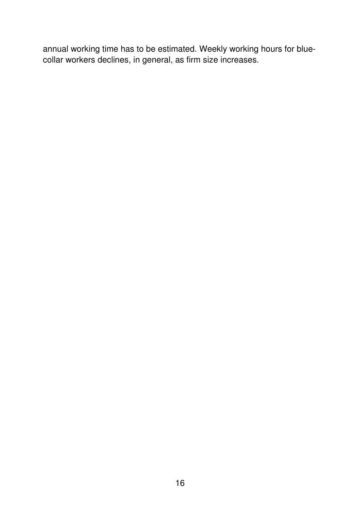annual working time has to be estimated. Weekly working hours for bluecollar workers declines, in general, as firm size increases.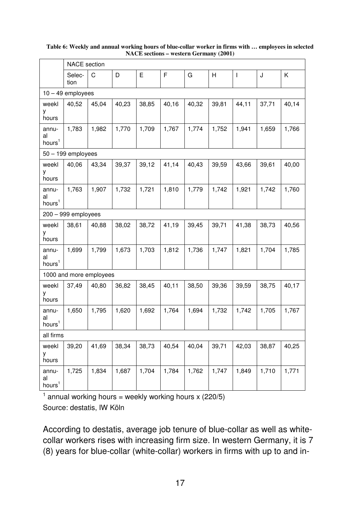|                                   | <b>NACE</b> section     |       |       |       |       |       |       |              |       |       |
|-----------------------------------|-------------------------|-------|-------|-------|-------|-------|-------|--------------|-------|-------|
|                                   | Selec-<br>tion          | C     | D     | E     | F     | G     | Н     | $\mathbf{I}$ | J     | Κ     |
|                                   | $10 - 49$ employees     |       |       |       |       |       |       |              |       |       |
| weekl<br>у<br>hours               | 40,52                   | 45,04 | 40,23 | 38,85 | 40,16 | 40,32 | 39,81 | 44,11        | 37,71 | 40,14 |
| annu-<br>al<br>hours <sup>1</sup> | 1,783                   | 1,982 | 1,770 | 1,709 | 1,767 | 1,774 | 1,752 | 1,941        | 1,659 | 1,766 |
|                                   | $50 - 199$ employees    |       |       |       |       |       |       |              |       |       |
| weekl<br>у<br>hours               | 40,06                   | 43,34 | 39,37 | 39,12 | 41,14 | 40,43 | 39,59 | 43,66        | 39,61 | 40,00 |
| annu-<br>al<br>hours <sup>1</sup> | 1,763                   | 1,907 | 1,732 | 1,721 | 1,810 | 1,779 | 1,742 | 1,921        | 1,742 | 1,760 |
|                                   | $200 - 999$ employees   |       |       |       |       |       |       |              |       |       |
| weekl<br>у<br>hours               | 38,61                   | 40,88 | 38,02 | 38,72 | 41,19 | 39,45 | 39,71 | 41,38        | 38,73 | 40,56 |
| annu-<br>al<br>hours <sup>1</sup> | 1,699                   | 1,799 | 1,673 | 1,703 | 1,812 | 1,736 | 1,747 | 1,821        | 1,704 | 1,785 |
|                                   | 1000 and more employees |       |       |       |       |       |       |              |       |       |
| weekl<br>у<br>hours               | 37,49                   | 40,80 | 36,82 | 38,45 | 40,11 | 38,50 | 39,36 | 39,59        | 38,75 | 40,17 |
| annu-<br>al<br>hours <sup>1</sup> | 1,650                   | 1,795 | 1,620 | 1,692 | 1,764 | 1,694 | 1,732 | 1,742        | 1,705 | 1,767 |
| all firms                         |                         |       |       |       |       |       |       |              |       |       |
| weekl<br>у<br>hours               | 39,20                   | 41,69 | 38,34 | 38,73 | 40,54 | 40,04 | 39,71 | 42,03        | 38,87 | 40,25 |
| annu-<br>al<br>hours <sup>1</sup> | 1,725                   | 1,834 | 1,687 | 1,704 | 1,784 | 1,762 | 1,747 | 1,849        | 1,710 | 1,771 |

#### **Table 6: Weekly and annual working hours of blue-collar worker in firms with … employees in selected NACE sections – western Germany (2001)**

<sup>1</sup> annual working hours = weekly working hours x (220/5) Source: destatis, IW Köln

According to destatis, average job tenure of blue-collar as well as whitecollar workers rises with increasing firm size. In western Germany, it is 7 (8) years for blue-collar (white-collar) workers in firms with up to and in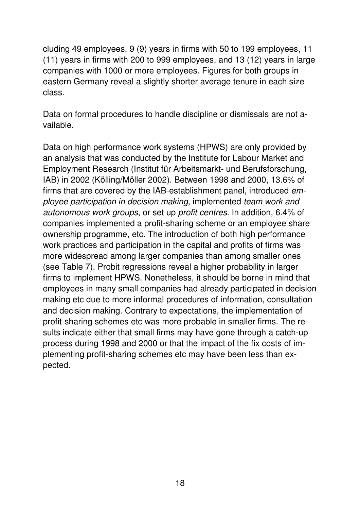cluding 49 employees, 9 (9) years in firms with 50 to 199 employees, 11 (11) years in firms with 200 to 999 employees, and 13 (12) years in large companies with 1000 or more employees. Figures for both groups in eastern Germany reveal a slightly shorter average tenure in each size class.

Data on formal procedures to handle discipline or dismissals are not available.

Data on high performance work systems (HPWS) are only provided by an analysis that was conducted by the Institute for Labour Market and Employment Research (Institut für Arbeitsmarkt- und Berufsforschung, IAB) in 2002 (Kölling/Möller 2002). Between 1998 and 2000, 13.6% of firms that are covered by the IAB-establishment panel, introduced employee participation in decision making, implemented team work and autonomous work groups, or set up profit centres. In addition, 6.4% of companies implemented a profit-sharing scheme or an employee share ownership programme, etc. The introduction of both high performance work practices and participation in the capital and profits of firms was more widespread among larger companies than among smaller ones (see Table 7). Probit regressions reveal a higher probability in larger firms to implement HPWS. Nonetheless, it should be borne in mind that employees in many small companies had already participated in decision making etc due to more informal procedures of information, consultation and decision making. Contrary to expectations, the implementation of profit-sharing schemes etc was more probable in smaller firms. The results indicate either that small firms may have gone through a catch-up process during 1998 and 2000 or that the impact of the fix costs of implementing profit-sharing schemes etc may have been less than expected.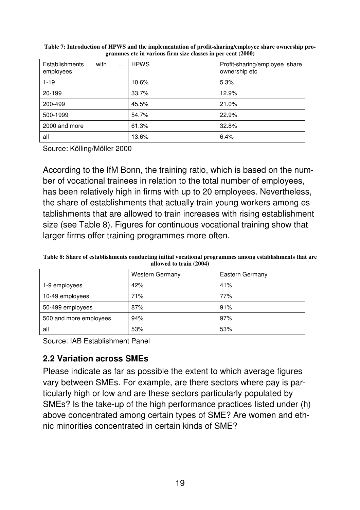| Establishments<br>with<br>$\cdots$<br>employees | <b>HPWS</b> | Profit-sharing/employee share<br>ownership etc |
|-------------------------------------------------|-------------|------------------------------------------------|
| $1 - 19$                                        | 10.6%       | 5.3%                                           |
| 20-199                                          | 33.7%       | 12.9%                                          |
| 200-499                                         | 45.5%       | 21.0%                                          |
| 500-1999                                        | 54.7%       | 22.9%                                          |
| 2000 and more                                   | 61.3%       | 32.8%                                          |
| all                                             | 13.6%       | 6.4%                                           |

**Table 7: Introduction of HPWS and the implementation of profit-sharing/employee share ownership programmes etc in various firm size classes in per cent (2000)** 

Source: Kölling/Möller 2000

According to the IfM Bonn, the training ratio, which is based on the number of vocational trainees in relation to the total number of employees, has been relatively high in firms with up to 20 employees. Nevertheless, the share of establishments that actually train young workers among establishments that are allowed to train increases with rising establishment size (see Table 8). Figures for continuous vocational training show that larger firms offer training programmes more often.

**Table 8: Share of establishments conducting initial vocational programmes among establishments that are allowed to train (2004)** 

|                        | <b>Western Germany</b> | Eastern Germany |
|------------------------|------------------------|-----------------|
| 1-9 employees          | 42%                    | 41%             |
| 10-49 employees        | 71%                    | 77%             |
| 50-499 employees       | 87%                    | 91%             |
| 500 and more employees | 94%                    | 97%             |
| all                    | 53%                    | 53%             |

Source: IAB Establishment Panel

#### **2.2 Variation across SMEs**

Please indicate as far as possible the extent to which average figures vary between SMEs. For example, are there sectors where pay is particularly high or low and are these sectors particularly populated by SMEs? Is the take-up of the high performance practices listed under (h) above concentrated among certain types of SME? Are women and ethnic minorities concentrated in certain kinds of SME?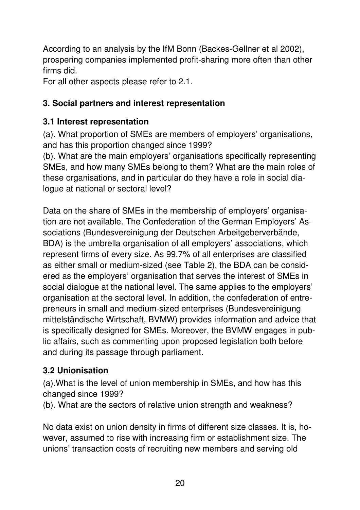According to an analysis by the IfM Bonn (Backes-Gellner et al 2002), prospering companies implemented profit-sharing more often than other firms did.

For all other aspects please refer to 2.1.

# **3. Social partners and interest representation**

# **3.1 Interest representation**

(a). What proportion of SMEs are members of employers' organisations, and has this proportion changed since 1999?

(b). What are the main employers' organisations specifically representing SMEs, and how many SMEs belong to them? What are the main roles of these organisations, and in particular do they have a role in social dialogue at national or sectoral level?

Data on the share of SMEs in the membership of employers' organisation are not available. The Confederation of the German Employers' Associations (Bundesvereinigung der Deutschen Arbeitgeberverbände, BDA) is the umbrella organisation of all employers' associations, which represent firms of every size. As 99.7% of all enterprises are classified as either small or medium-sized (see Table 2), the BDA can be considered as the employers' organisation that serves the interest of SMEs in social dialogue at the national level. The same applies to the employers' organisation at the sectoral level. In addition, the confederation of entrepreneurs in small and medium-sized enterprises (Bundesvereinigung mittelständische Wirtschaft, BVMW) provides information and advice that is specifically designed for SMEs. Moreover, the BVMW engages in public affairs, such as commenting upon proposed legislation both before and during its passage through parliament.

# **3.2 Unionisation**

(a).What is the level of union membership in SMEs, and how has this changed since 1999?

(b). What are the sectors of relative union strength and weakness?

No data exist on union density in firms of different size classes. It is, however, assumed to rise with increasing firm or establishment size. The unions' transaction costs of recruiting new members and serving old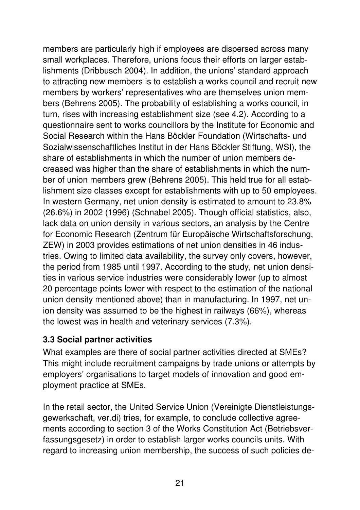members are particularly high if employees are dispersed across many small workplaces. Therefore, unions focus their efforts on larger establishments (Dribbusch 2004). In addition, the unions' standard approach to attracting new members is to establish a works council and recruit new members by workers' representatives who are themselves union members (Behrens 2005). The probability of establishing a works council, in turn, rises with increasing establishment size (see 4.2). According to a questionnaire sent to works councillors by the Institute for Economic and Social Research within the Hans Böckler Foundation (Wirtschafts- und Sozialwissenschaftliches Institut in der Hans Böckler Stiftung, WSI), the share of establishments in which the number of union members decreased was higher than the share of establishments in which the number of union members grew (Behrens 2005). This held true for all establishment size classes except for establishments with up to 50 employees. In western Germany, net union density is estimated to amount to 23.8% (26.6%) in 2002 (1996) (Schnabel 2005). Though official statistics, also, lack data on union density in various sectors, an analysis by the Centre for Economic Research (Zentrum für Europäische Wirtschaftsforschung, ZEW) in 2003 provides estimations of net union densities in 46 industries. Owing to limited data availability, the survey only covers, however, the period from 1985 until 1997. According to the study, net union densities in various service industries were considerably lower (up to almost 20 percentage points lower with respect to the estimation of the national union density mentioned above) than in manufacturing. In 1997, net union density was assumed to be the highest in railways (66%), whereas the lowest was in health and veterinary services (7.3%).

#### **3.3 Social partner activities**

What examples are there of social partner activities directed at SMEs? This might include recruitment campaigns by trade unions or attempts by employers' organisations to target models of innovation and good employment practice at SMEs.

In the retail sector, the United Service Union (Vereinigte Dienstleistungsgewerkschaft, ver.di) tries, for example, to conclude collective agreements according to section 3 of the Works Constitution Act (Betriebsverfassungsgesetz) in order to establish larger works councils units. With regard to increasing union membership, the success of such policies de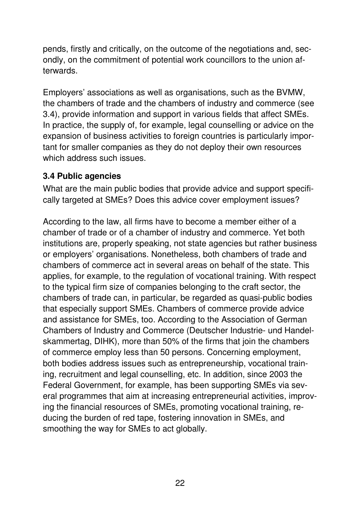pends, firstly and critically, on the outcome of the negotiations and, secondly, on the commitment of potential work councillors to the union afterwards.

Employers' associations as well as organisations, such as the BVMW, the chambers of trade and the chambers of industry and commerce (see 3.4), provide information and support in various fields that affect SMEs. In practice, the supply of, for example, legal counselling or advice on the expansion of business activities to foreign countries is particularly important for smaller companies as they do not deploy their own resources which address such issues.

#### **3.4 Public agencies**

What are the main public bodies that provide advice and support specifically targeted at SMEs? Does this advice cover employment issues?

According to the law, all firms have to become a member either of a chamber of trade or of a chamber of industry and commerce. Yet both institutions are, properly speaking, not state agencies but rather business or employers' organisations. Nonetheless, both chambers of trade and chambers of commerce act in several areas on behalf of the state. This applies, for example, to the regulation of vocational training. With respect to the typical firm size of companies belonging to the craft sector, the chambers of trade can, in particular, be regarded as quasi-public bodies that especially support SMEs. Chambers of commerce provide advice and assistance for SMEs, too. According to the Association of German Chambers of Industry and Commerce (Deutscher Industrie- und Handelskammertag, DIHK), more than 50% of the firms that join the chambers of commerce employ less than 50 persons. Concerning employment, both bodies address issues such as entrepreneurship, vocational training, recruitment and legal counselling, etc. In addition, since 2003 the Federal Government, for example, has been supporting SMEs via several programmes that aim at increasing entrepreneurial activities, improving the financial resources of SMEs, promoting vocational training, reducing the burden of red tape, fostering innovation in SMEs, and smoothing the way for SMEs to act globally.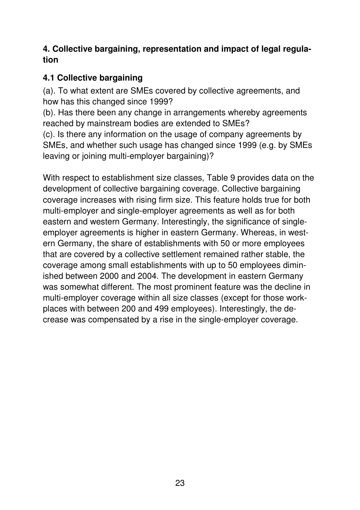#### **4. Collective bargaining, representation and impact of legal regulation**

### **4.1 Collective bargaining**

(a). To what extent are SMEs covered by collective agreements, and how has this changed since 1999?

(b). Has there been any change in arrangements whereby agreements reached by mainstream bodies are extended to SMEs?

(c). Is there any information on the usage of company agreements by SMEs, and whether such usage has changed since 1999 (e.g. by SMEs leaving or joining multi-employer bargaining)?

With respect to establishment size classes, Table 9 provides data on the development of collective bargaining coverage. Collective bargaining coverage increases with rising firm size. This feature holds true for both multi-employer and single-employer agreements as well as for both eastern and western Germany. Interestingly, the significance of singleemployer agreements is higher in eastern Germany. Whereas, in western Germany, the share of establishments with 50 or more employees that are covered by a collective settlement remained rather stable, the coverage among small establishments with up to 50 employees diminished between 2000 and 2004. The development in eastern Germany was somewhat different. The most prominent feature was the decline in multi-employer coverage within all size classes (except for those workplaces with between 200 and 499 employees). Interestingly, the decrease was compensated by a rise in the single-employer coverage.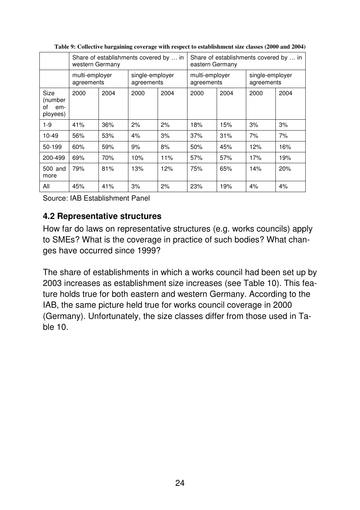|                                                 | Share of establishments covered by  in<br>western Germany |      |                               |      | Share of establishments covered by  in<br>eastern Germany |      |                               |      |
|-------------------------------------------------|-----------------------------------------------------------|------|-------------------------------|------|-----------------------------------------------------------|------|-------------------------------|------|
|                                                 | multi-employer<br>agreements                              |      | single-employer<br>agreements |      | multi-employer<br>agreements                              |      | single-employer<br>agreements |      |
| <b>Size</b><br>(number<br>οf<br>em-<br>ployees) | 2000                                                      | 2004 | 2000                          | 2004 | 2000                                                      | 2004 | 2000                          | 2004 |
| $1-9$                                           | 41%                                                       | 36%  | 2%                            | 2%   | 18%                                                       | 15%  | 3%                            | 3%   |
| $10-49$                                         | 56%                                                       | 53%  | 4%                            | 3%   | 37%                                                       | 31%  | 7%                            | 7%   |
| 50-199                                          | 60%                                                       | 59%  | 9%                            | 8%   | 50%                                                       | 45%  | 12%                           | 16%  |
| 200-499                                         | 69%                                                       | 70%  | 10%                           | 11%  | 57%                                                       | 57%  | 17%                           | 19%  |
| 500 and<br>more                                 | 79%                                                       | 81%  | 13%                           | 12%  | 75%                                                       | 65%  | 14%                           | 20%  |
| All                                             | 45%                                                       | 41%  | 3%                            | 2%   | 23%                                                       | 19%  | 4%                            | 4%   |

**Table 9: Collective bargaining coverage with respect to establishment size classes (2000 and 2004)** 

Source: IAB Establishment Panel

#### **4.2 Representative structures**

How far do laws on representative structures (e.g. works councils) apply to SMEs? What is the coverage in practice of such bodies? What changes have occurred since 1999?

The share of establishments in which a works council had been set up by 2003 increases as establishment size increases (see Table 10). This feature holds true for both eastern and western Germany. According to the IAB, the same picture held true for works council coverage in 2000 (Germany). Unfortunately, the size classes differ from those used in Table 10.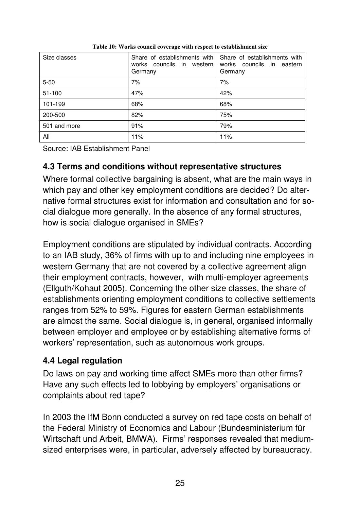| Size classes | Share of establishments with<br>works councils in western<br>Germany | Share of establishments with<br>works councils in eastern<br>Germany |
|--------------|----------------------------------------------------------------------|----------------------------------------------------------------------|
| $5 - 50$     | 7%                                                                   | 7%                                                                   |
| $51 - 100$   | 47%                                                                  | 42%                                                                  |
| 101-199      | 68%                                                                  | 68%                                                                  |
| 200-500      | 82%                                                                  | 75%                                                                  |
| 501 and more | 91%                                                                  | 79%                                                                  |
| All          | 11%                                                                  | 11%                                                                  |

**Table 10: Works council coverage with respect to establishment size** 

Source: IAB Establishment Panel

#### **4.3 Terms and conditions without representative structures**

Where formal collective bargaining is absent, what are the main ways in which pay and other key employment conditions are decided? Do alternative formal structures exist for information and consultation and for social dialogue more generally. In the absence of any formal structures, how is social dialogue organised in SMEs?

Employment conditions are stipulated by individual contracts. According to an IAB study, 36% of firms with up to and including nine employees in western Germany that are not covered by a collective agreement align their employment contracts, however, with multi-employer agreements (Ellguth/Kohaut 2005). Concerning the other size classes, the share of establishments orienting employment conditions to collective settlements ranges from 52% to 59%. Figures for eastern German establishments are almost the same. Social dialogue is, in general, organised informally between employer and employee or by establishing alternative forms of workers' representation, such as autonomous work groups.

#### **4.4 Legal regulation**

Do laws on pay and working time affect SMEs more than other firms? Have any such effects led to lobbying by employers' organisations or complaints about red tape?

In 2003 the IfM Bonn conducted a survey on red tape costs on behalf of the Federal Ministry of Economics and Labour (Bundesministerium für Wirtschaft und Arbeit, BMWA). Firms' responses revealed that mediumsized enterprises were, in particular, adversely affected by bureaucracy.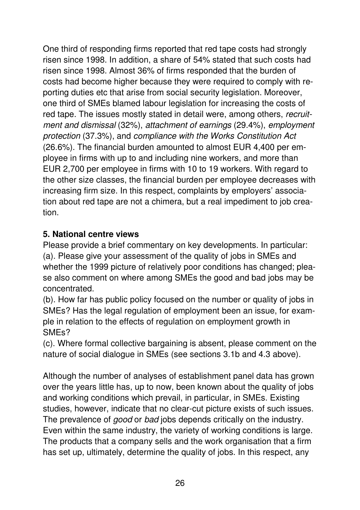One third of responding firms reported that red tape costs had strongly risen since 1998. In addition, a share of 54% stated that such costs had risen since 1998. Almost 36% of firms responded that the burden of costs had become higher because they were required to comply with reporting duties etc that arise from social security legislation. Moreover, one third of SMEs blamed labour legislation for increasing the costs of red tape. The issues mostly stated in detail were, among others, recruitment and dismissal (32%), attachment of earnings (29.4%), employment protection (37.3%), and compliance with the Works Constitution Act (26.6%). The financial burden amounted to almost EUR 4,400 per employee in firms with up to and including nine workers, and more than EUR 2,700 per employee in firms with 10 to 19 workers. With regard to the other size classes, the financial burden per employee decreases with increasing firm size. In this respect, complaints by employers' association about red tape are not a chimera, but a real impediment to job creation.

#### **5. National centre views**

Please provide a brief commentary on key developments. In particular: (a). Please give your assessment of the quality of jobs in SMEs and whether the 1999 picture of relatively poor conditions has changed; please also comment on where among SMEs the good and bad jobs may be concentrated.

(b). How far has public policy focused on the number or quality of jobs in SMEs? Has the legal regulation of employment been an issue, for example in relation to the effects of regulation on employment growth in SMEs?

(c). Where formal collective bargaining is absent, please comment on the nature of social dialogue in SMEs (see sections 3.1b and 4.3 above).

Although the number of analyses of establishment panel data has grown over the years little has, up to now, been known about the quality of jobs and working conditions which prevail, in particular, in SMEs. Existing studies, however, indicate that no clear-cut picture exists of such issues. The prevalence of good or bad jobs depends critically on the industry. Even within the same industry, the variety of working conditions is large. The products that a company sells and the work organisation that a firm has set up, ultimately, determine the quality of jobs. In this respect, any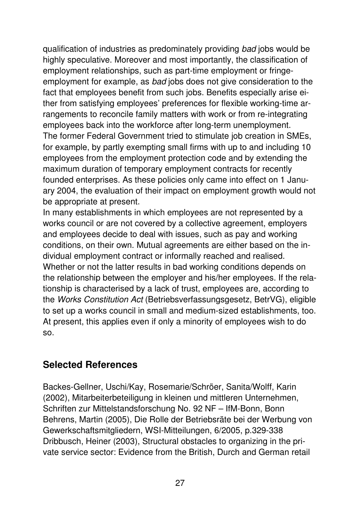qualification of industries as predominately providing bad jobs would be highly speculative. Moreover and most importantly, the classification of employment relationships, such as part-time employment or fringeemployment for example, as bad jobs does not give consideration to the fact that employees benefit from such jobs. Benefits especially arise either from satisfying employees' preferences for flexible working-time arrangements to reconcile family matters with work or from re-integrating employees back into the workforce after long-term unemployment. The former Federal Government tried to stimulate job creation in SMEs, for example, by partly exempting small firms with up to and including 10 employees from the employment protection code and by extending the maximum duration of temporary employment contracts for recently founded enterprises. As these policies only came into effect on 1 January 2004, the evaluation of their impact on employment growth would not be appropriate at present.

In many establishments in which employees are not represented by a works council or are not covered by a collective agreement, employers and employees decide to deal with issues, such as pay and working conditions, on their own. Mutual agreements are either based on the individual employment contract or informally reached and realised. Whether or not the latter results in bad working conditions depends on the relationship between the employer and his/her employees. If the relationship is characterised by a lack of trust, employees are, according to the Works Constitution Act (Betriebsverfassungsgesetz, BetrVG), eligible to set up a works council in small and medium-sized establishments, too. At present, this applies even if only a minority of employees wish to do so.

# **Selected References**

Backes-Gellner, Uschi/Kay, Rosemarie/Schröer, Sanita/Wolff, Karin (2002), Mitarbeiterbeteiligung in kleinen und mittleren Unternehmen, Schriften zur Mittelstandsforschung No. 92 NF – IfM-Bonn, Bonn Behrens, Martin (2005), Die Rolle der Betriebsräte bei der Werbung von Gewerkschaftsmitgliedern, WSI-Mitteilungen, 6/2005, p.329-338 Dribbusch, Heiner (2003), Structural obstacles to organizing in the private service sector: Evidence from the British, Durch and German retail